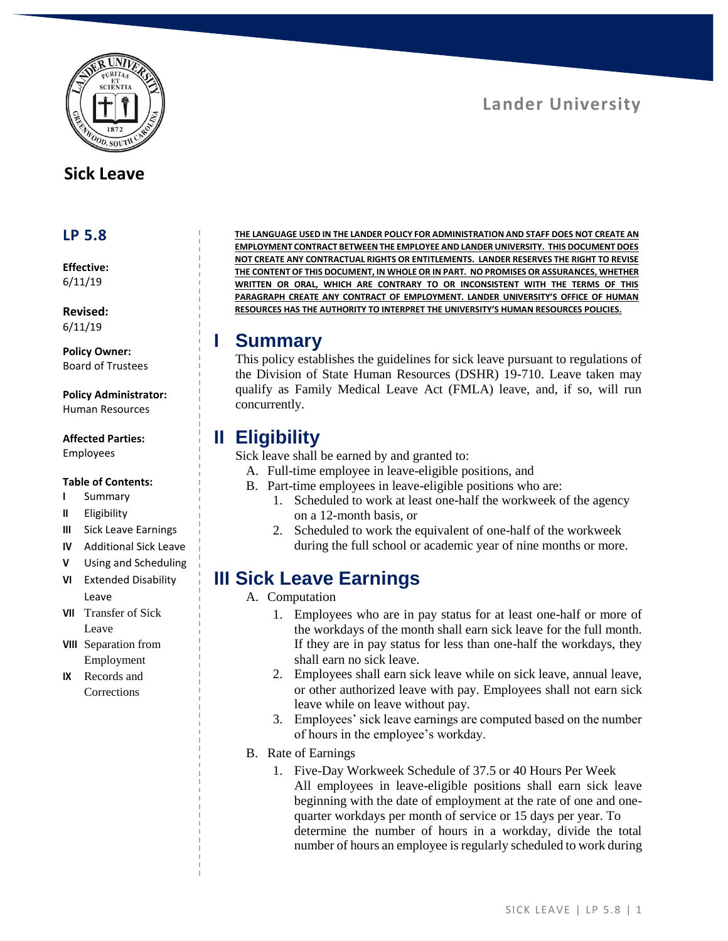

### **Sick Leave**

#### **LP 5.8**

**Effective:** 6/11/19

**Revised:** 6/11/19

**Policy Owner:** Board of Trustees

**Policy Administrator:** Human Resources

#### **Affected Parties:** Employees

#### **Table of Contents:**

- **I** Summary
- **II** Eligibility
- **III** Sick Leave Earnings
- **IV** Additional Sick Leave
- **V** Using and Scheduling
- **VI** Extended Disability Leave
- **VII** Transfer of Sick Leave
- **VIII** Separation from Employment
- **IX** Records and **Corrections**

**THE LANGUAGE USED IN THE LANDER POLICY FOR ADMINISTRATION AND STAFF DOES NOT CREATE AN EMPLOYMENT CONTRACT BETWEEN THE EMPLOYEE AND LANDER UNIVERSITY. THIS DOCUMENT DOES NOT CREATE ANY CONTRACTUAL RIGHTS OR ENTITLEMENTS. LANDER RESERVES THE RIGHT TO REVISE THE CONTENT OF THIS DOCUMENT, IN WHOLE OR IN PART. NO PROMISES OR ASSURANCES, WHETHER WRITTEN OR ORAL, WHICH ARE CONTRARY TO OR INCONSISTENT WITH THE TERMS OF THIS PARAGRAPH CREATE ANY CONTRACT OF EMPLOYMENT. LANDER UNIVERSITY'S OFFICE OF HUMAN RESOURCES HAS THE AUTHORITY TO INTERPRET THE UNIVERSITY'S HUMAN RESOURCES POLICIES.**

#### **I Summary**

This policy establishes the guidelines for sick leave pursuant to regulations of the Division of State Human Resources (DSHR) 19-710. Leave taken may qualify as Family Medical Leave Act (FMLA) leave, and, if so, will run concurrently.

## **II Eligibility**

Sick leave shall be earned by and granted to:

- A. Full-time employee in leave-eligible positions, and
- B. Part-time employees in leave-eligible positions who are:
	- 1. Scheduled to work at least one-half the workweek of the agency on a 12-month basis, or
	- 2. Scheduled to work the equivalent of one-half of the workweek during the full school or academic year of nine months or more.

# **III Sick Leave Earnings**

- A. Computation
	- 1. Employees who are in pay status for at least one-half or more of the workdays of the month shall earn sick leave for the full month. If they are in pay status for less than one-half the workdays, they shall earn no sick leave.
	- 2. Employees shall earn sick leave while on sick leave, annual leave, or other authorized leave with pay. Employees shall not earn sick leave while on leave without pay.
	- 3. Employees' sick leave earnings are computed based on the number of hours in the employee's workday.
- B. Rate of Earnings
	- 1. Five-Day Workweek Schedule of 37.5 or 40 Hours Per Week All employees in leave-eligible positions shall earn sick leave beginning with the date of employment at the rate of one and onequarter workdays per month of service or 15 days per year. To determine the number of hours in a workday, divide the total number of hours an employee is regularly scheduled to work during

**Lander University**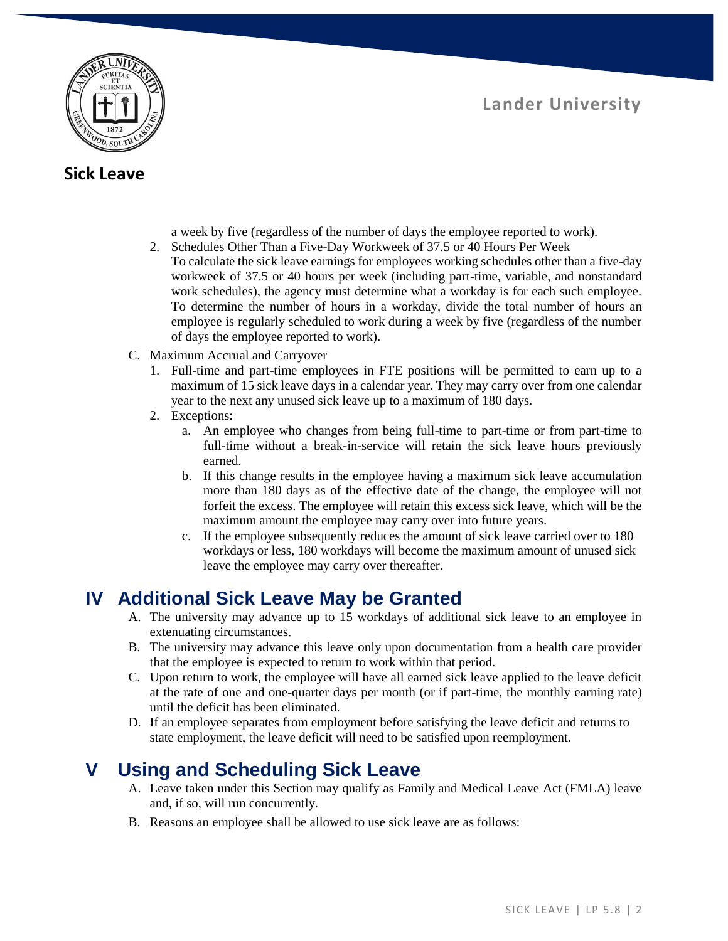

#### **Sick Leave**

- a week by five (regardless of the number of days the employee reported to work).
- 2. Schedules Other Than a Five-Day Workweek of 37.5 or 40 Hours Per Week To calculate the sick leave earnings for employees working schedules other than a five-day workweek of 37.5 or 40 hours per week (including part-time, variable, and nonstandard work schedules), the agency must determine what a workday is for each such employee. To determine the number of hours in a workday, divide the total number of hours an employee is regularly scheduled to work during a week by five (regardless of the number of days the employee reported to work).
- C. Maximum Accrual and Carryover
	- 1. Full-time and part-time employees in FTE positions will be permitted to earn up to a maximum of 15 sick leave days in a calendar year. They may carry over from one calendar year to the next any unused sick leave up to a maximum of 180 days.
	- 2. Exceptions:
		- a. An employee who changes from being full-time to part-time or from part-time to full-time without a break-in-service will retain the sick leave hours previously earned.
		- b. If this change results in the employee having a maximum sick leave accumulation more than 180 days as of the effective date of the change, the employee will not forfeit the excess. The employee will retain this excess sick leave, which will be the maximum amount the employee may carry over into future years.
		- c. If the employee subsequently reduces the amount of sick leave carried over to 180 workdays or less, 180 workdays will become the maximum amount of unused sick leave the employee may carry over thereafter.

## **IV Additional Sick Leave May be Granted**

- A. The university may advance up to 15 workdays of additional sick leave to an employee in extenuating circumstances.
- B. The university may advance this leave only upon documentation from a health care provider that the employee is expected to return to work within that period.
- C. Upon return to work, the employee will have all earned sick leave applied to the leave deficit at the rate of one and one-quarter days per month (or if part-time, the monthly earning rate) until the deficit has been eliminated.
- D. If an employee separates from employment before satisfying the leave deficit and returns to state employment, the leave deficit will need to be satisfied upon reemployment.

# **V Using and Scheduling Sick Leave**

- A. Leave taken under this Section may qualify as Family and Medical Leave Act (FMLA) leave and, if so, will run concurrently.
- B. Reasons an employee shall be allowed to use sick leave are as follows: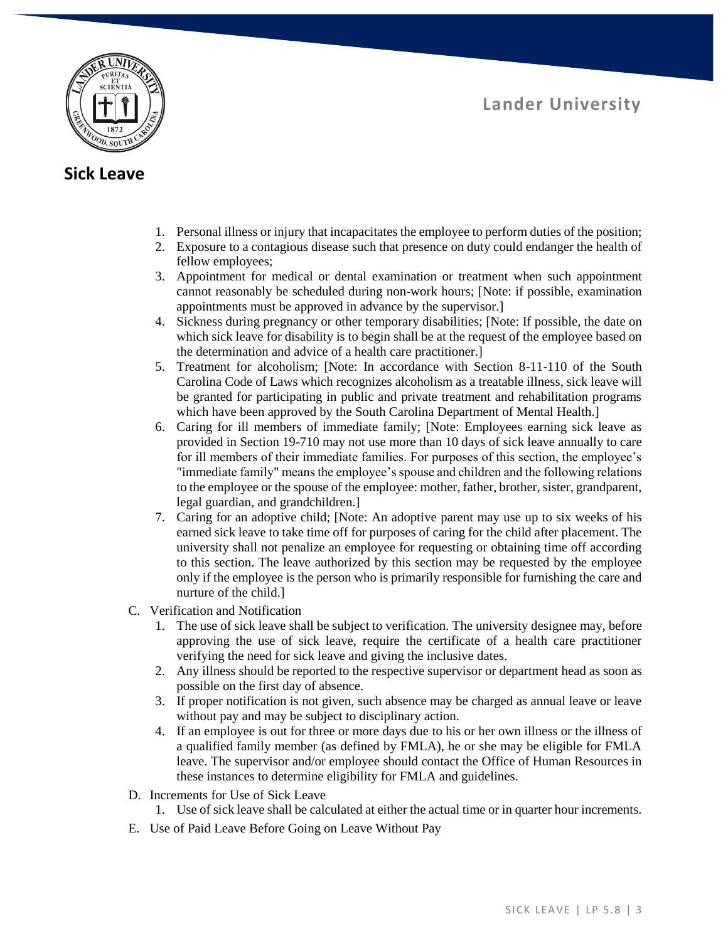**Lander University**



#### **Sick Leave**

- 1. Personal illness or injury that incapacitates the employee to perform duties of the position;
- 2. Exposure to a contagious disease such that presence on duty could endanger the health of fellow employees;
- 3. Appointment for medical or dental examination or treatment when such appointment cannot reasonably be scheduled during non-work hours; [Note: if possible, examination appointments must be approved in advance by the supervisor.]
- 4. Sickness during pregnancy or other temporary disabilities; [Note: If possible, the date on which sick leave for disability is to begin shall be at the request of the employee based on the determination and advice of a health care practitioner.]
- 5. Treatment for alcoholism; [Note: In accordance with Section 8-11-110 of the South Carolina Code of Laws which recognizes alcoholism as a treatable illness, sick leave will be granted for participating in public and private treatment and rehabilitation programs which have been approved by the South Carolina Department of Mental Health.]
- 6. Caring for ill members of immediate family; [Note: Employees earning sick leave as provided in Section 19-710 may not use more than 10 days of sick leave annually to care for ill members of their immediate families. For purposes of this section, the employee's "immediate family" means the employee's spouse and children and the following relations to the employee or the spouse of the employee: mother, father, brother, sister, grandparent, legal guardian, and grandchildren.]
- 7. Caring for an adoptive child; [Note: An adoptive parent may use up to six weeks of his earned sick leave to take time off for purposes of caring for the child after placement. The university shall not penalize an employee for requesting or obtaining time off according to this section. The leave authorized by this section may be requested by the employee only if the employee is the person who is primarily responsible for furnishing the care and nurture of the child.]
- C. Verification and Notification
	- 1. The use of sick leave shall be subject to verification. The university designee may, before approving the use of sick leave, require the certificate of a health care practitioner verifying the need for sick leave and giving the inclusive dates.
	- 2. Any illness should be reported to the respective supervisor or department head as soon as possible on the first day of absence.
	- 3. If proper notification is not given, such absence may be charged as annual leave or leave without pay and may be subject to disciplinary action.
	- 4. If an employee is out for three or more days due to his or her own illness or the illness of a qualified family member (as defined by FMLA), he or she may be eligible for FMLA leave. The supervisor and/or employee should contact the Office of Human Resources in these instances to determine eligibility for FMLA and guidelines.
- D. Increments for Use of Sick Leave
	- 1. Use of sick leave shall be calculated at either the actual time or in quarter hour increments.
- E. Use of Paid Leave Before Going on Leave Without Pay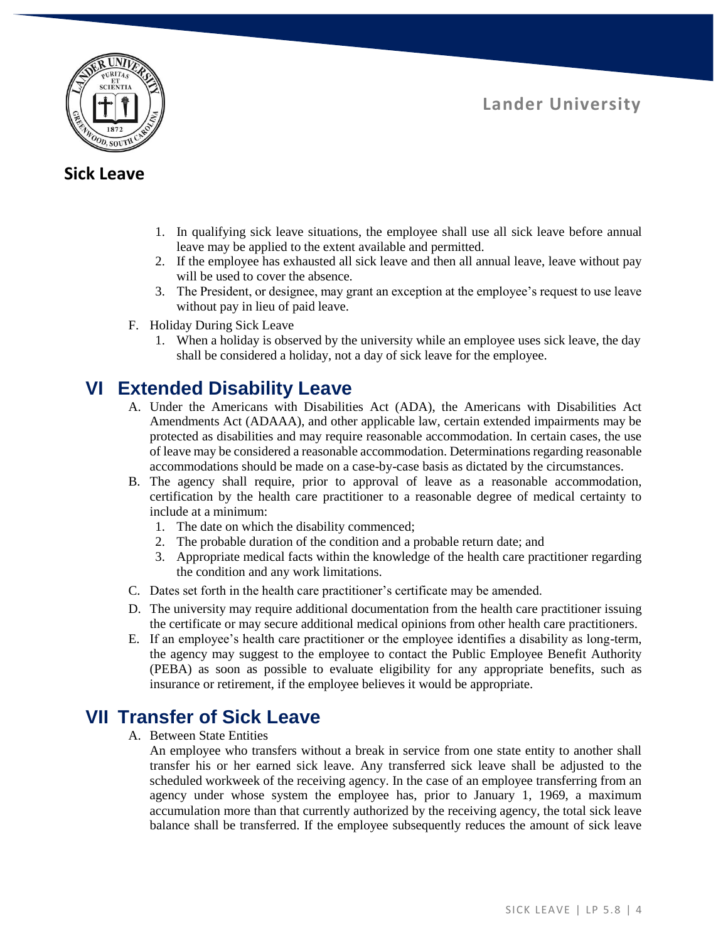

**Lander University**

#### **Sick Leave**

- 1. In qualifying sick leave situations, the employee shall use all sick leave before annual leave may be applied to the extent available and permitted.
- 2. If the employee has exhausted all sick leave and then all annual leave, leave without pay will be used to cover the absence.
- 3. The President, or designee, may grant an exception at the employee's request to use leave without pay in lieu of paid leave.
- F. Holiday During Sick Leave
	- 1. When a holiday is observed by the university while an employee uses sick leave, the day shall be considered a holiday, not a day of sick leave for the employee.

## **VI Extended Disability Leave**

- A. Under the Americans with Disabilities Act (ADA), the Americans with Disabilities Act Amendments Act (ADAAA), and other applicable law, certain extended impairments may be protected as disabilities and may require reasonable accommodation. In certain cases, the use of leave may be considered a reasonable accommodation. Determinations regarding reasonable accommodations should be made on a case-by-case basis as dictated by the circumstances.
- B. The agency shall require, prior to approval of leave as a reasonable accommodation, certification by the health care practitioner to a reasonable degree of medical certainty to include at a minimum:
	- 1. The date on which the disability commenced;
	- 2. The probable duration of the condition and a probable return date; and
	- 3. Appropriate medical facts within the knowledge of the health care practitioner regarding the condition and any work limitations.
- C. Dates set forth in the health care practitioner's certificate may be amended.
- D. The university may require additional documentation from the health care practitioner issuing the certificate or may secure additional medical opinions from other health care practitioners.
- E. If an employee's health care practitioner or the employee identifies a disability as long-term, the agency may suggest to the employee to contact the Public Employee Benefit Authority (PEBA) as soon as possible to evaluate eligibility for any appropriate benefits, such as insurance or retirement, if the employee believes it would be appropriate.

## **VII Transfer of Sick Leave**

- A. Between State Entities
	- An employee who transfers without a break in service from one state entity to another shall transfer his or her earned sick leave. Any transferred sick leave shall be adjusted to the scheduled workweek of the receiving agency. In the case of an employee transferring from an agency under whose system the employee has, prior to January 1, 1969, a maximum accumulation more than that currently authorized by the receiving agency, the total sick leave balance shall be transferred. If the employee subsequently reduces the amount of sick leave